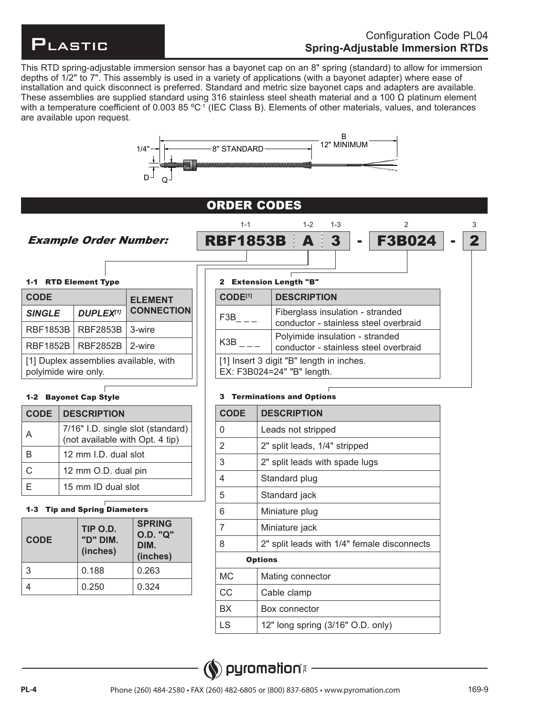

F3B024  $\mathfrak{p}$ 

2 3

This RTD spring-adjustable immersion sensor has a bayonet cap on an 8" spring (standard) to allow for immersion depths of 1/2" to 7". This assembly is used in a variety of applications (with a bayonet adapter) where ease of installation and quick disconnect is preferred. Standard and metric size bayonet caps and adapters are available. These assemblies are supplied standard using 316 stainless steel sheath material and a 100  $\Omega$  platinum element with a temperature coefficient of 0.003 85  $^{\circ}$ C $^{\circ}$  (IEC Class B). Elements of other materials, values, and tolerances are available upon request.



# ORDER CODES

1-1

Example Order Number:

## 1-1 RTD Element Type

| <b>CODE</b>          |                                       | <b>ELEMENT</b>    |  |
|----------------------|---------------------------------------|-------------------|--|
| <b>SINGLE</b>        | <b>DUPLEX[1]</b>                      | <b>CONNECTION</b> |  |
| <b>RBF1853B</b>      | <b>RBF2853B</b>                       | 3-wire            |  |
| <b>RBF1852B</b>      | <b>RBF2852B</b>                       | 2-wire            |  |
| polyimide wire only. | [1] Duplex assemblies available, with |                   |  |

# 1-2 Bayonet Cap Style

| <b>CODE</b>                                                                | <b>DESCRIPTION</b>   |
|----------------------------------------------------------------------------|----------------------|
| 7/16" I.D. single slot (standard) $ $ (not available with Opt. 4 tip)<br>A |                      |
| R                                                                          | 12 mm I.D. dual slot |
| C                                                                          | 12 mm O.D. dual pin  |
|                                                                            | 15 mm ID dual slot   |

# 1-3 Tip and Spring Diameters

| <b>CODE</b> | TIP O.D.<br>"D" DIM.<br>(inches) | <b>SPRING</b><br><b>O.D. "Q"</b><br>DIM.<br>(inches) |
|-------------|----------------------------------|------------------------------------------------------|
| 3           | 0.188                            | 0.263                                                |
|             | 0.250                            | 0.324                                                |

**RBF1853B A 3** 

| 2 Extension Length "B"                                                    |  |
|---------------------------------------------------------------------------|--|
| <b>DESCRIPTION</b>                                                        |  |
| Fiberglass insulation - stranded<br>conductor - stainless steel overbraid |  |
| Polyimide insulation - stranded<br>conductor - stainless steel overbraid  |  |
| [1] Insert 3 digit "B" length in inches.<br>EX: F3B024=24" "B" length.    |  |
|                                                                           |  |

1-2 1-3

## 3 Terminations and Options

| <b>CODE</b>    | <b>DESCRIPTION</b>                          |
|----------------|---------------------------------------------|
| $\mathbf 0$    | Leads not stripped                          |
| 2              | 2" split leads, 1/4" stripped               |
| 3              | 2" split leads with spade lugs              |
| $\overline{4}$ | Standard plug                               |
| 5              | Standard jack                               |
| $6\,$          | Miniature plug                              |
| 7              | Miniature jack                              |
| 8              | 2" split leads with 1/4" female disconnects |
| <b>Options</b> |                                             |
| <b>MC</b>      | Mating connector                            |
| CC             | Cable clamp                                 |
| <b>BX</b>      | Box connector                               |
| <b>LS</b>      | 12" long spring (3/16" O.D. only)           |

# **shoitamoryq** (